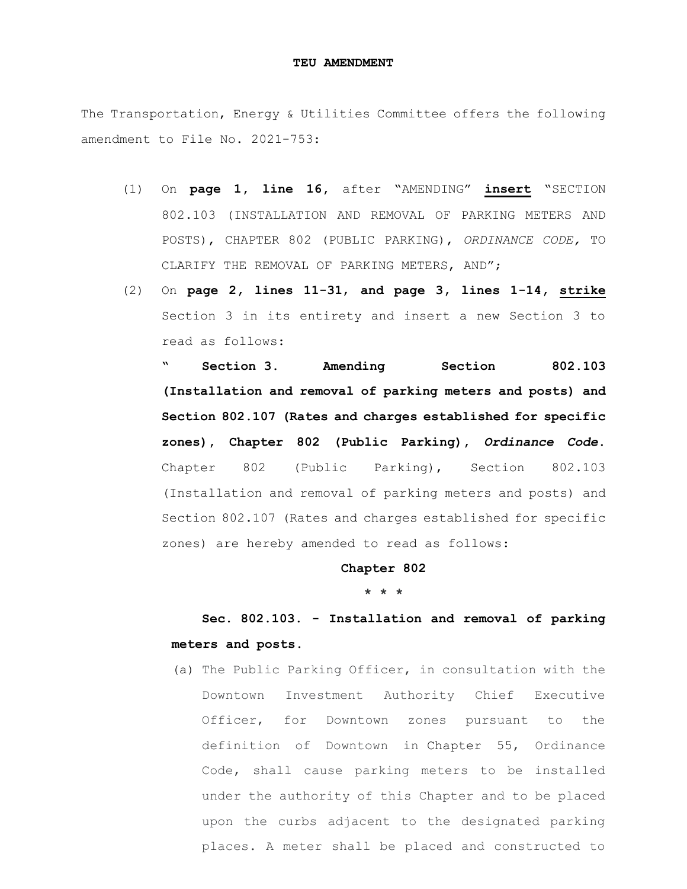#### **TEU AMENDMENT**

The Transportation, Energy & Utilities Committee offers the following amendment to File No. 2021-753:

- (1) On **page 1, line 16,** after "AMENDING" **insert** "SECTION 802.103 (INSTALLATION AND REMOVAL OF PARKING METERS AND POSTS), CHAPTER 802 (PUBLIC PARKING), *ORDINANCE CODE,* TO CLARIFY THE REMOVAL OF PARKING METERS, AND";
- (2) On **page 2, lines 11-31**, **and page 3, lines 1-14, strike** Section 3 in its entirety and insert a new Section 3 to read as follows:

**" Section 3. Amending Section 802.103 (Installation and removal of parking meters and posts) and Section 802.107 (Rates and charges established for specific zones), Chapter 802 (Public Parking),** *Ordinance Code***.** Chapter 802 (Public Parking), Section 802.103 (Installation and removal of parking meters and posts) and Section 802.107 (Rates and charges established for specific zones) are hereby amended to read as follows:

### **Chapter 802**

**\* \* \***

# **Sec. 802.103. - Installation and removal of parking meters and posts.**

(a) The Public Parking Officer, in consultation with the Downtown Investment Authority Chief Executive Officer, for Downtown zones pursuant to the definition of Downtown in [Chapter 55,](https://library.municode.com/fl/jacksonville/codes/code_of_ordinances?nodeId=TITIVBOCO_CH55DOINAU) Ordinance Code, shall cause parking meters to be installed under the authority of this Chapter and to be placed upon the curbs adjacent to the designated parking places. A meter shall be placed and constructed to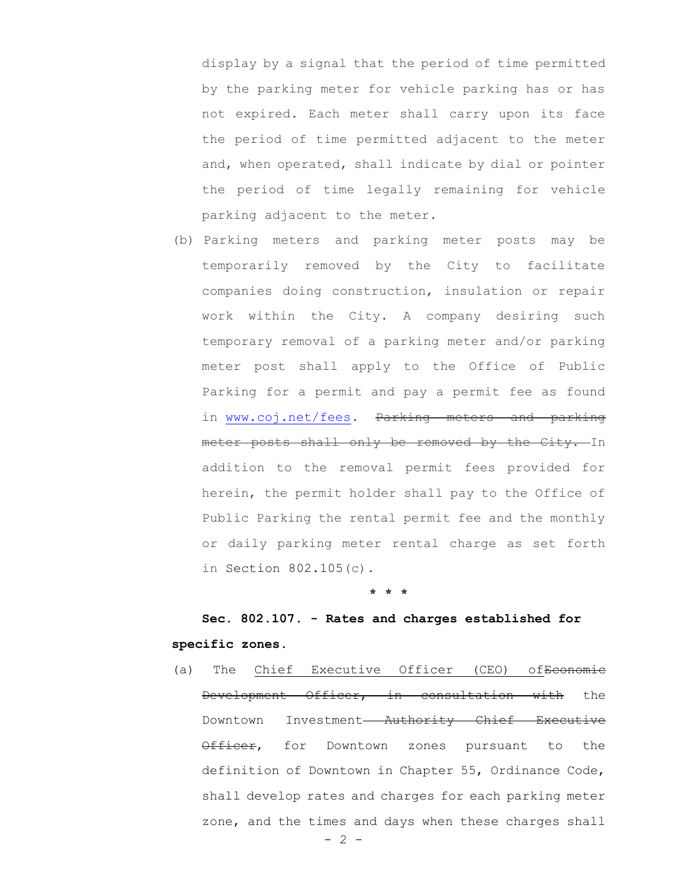display by a signal that the period of time permitted by the parking meter for vehicle parking has or has not expired. Each meter shall carry upon its face the period of time permitted adjacent to the meter and, when operated, shall indicate by dial or pointer the period of time legally remaining for vehicle parking adjacent to the meter.

(b) Parking meters and parking meter posts may be temporarily removed by the City to facilitate companies doing construction, insulation or repair work within the City. A company desiring such temporary removal of a parking meter and/or parking meter post shall apply to the Office of Public Parking for a permit and pay a permit fee as found in [www.coj.net/fees.](http://www.coj.net/fees) Parking meters and parking meter posts shall only be removed by the City. In addition to the removal permit fees provided for herein, the permit holder shall pay to the Office of Public Parking the rental permit fee and the monthly or daily parking meter rental charge as set forth in Section [802.105\(](https://library.municode.com/fl/jacksonville/codes/code_of_ordinances?nodeId=TITXXIIITRPA_CH802PUPA_S802.105MEPACHOVPAEXCEOFREPUOFSEREPAMEEXVEDIDIPLDIVELIPL)c).

#### **\* \* \***

# **Sec. 802.107. - Rates and charges established for specific zones.**

(a) The Chief Executive Officer (CEO) of<del>Economic</del> Development Officer, in consultation with the Downtown Investment-Authority Chief Executive Officer, for Downtown zones pursuant to the definition of Downtown in Chapter 55, Ordinance Code, shall develop rates and charges for each parking meter zone, and the times and days when these charges shall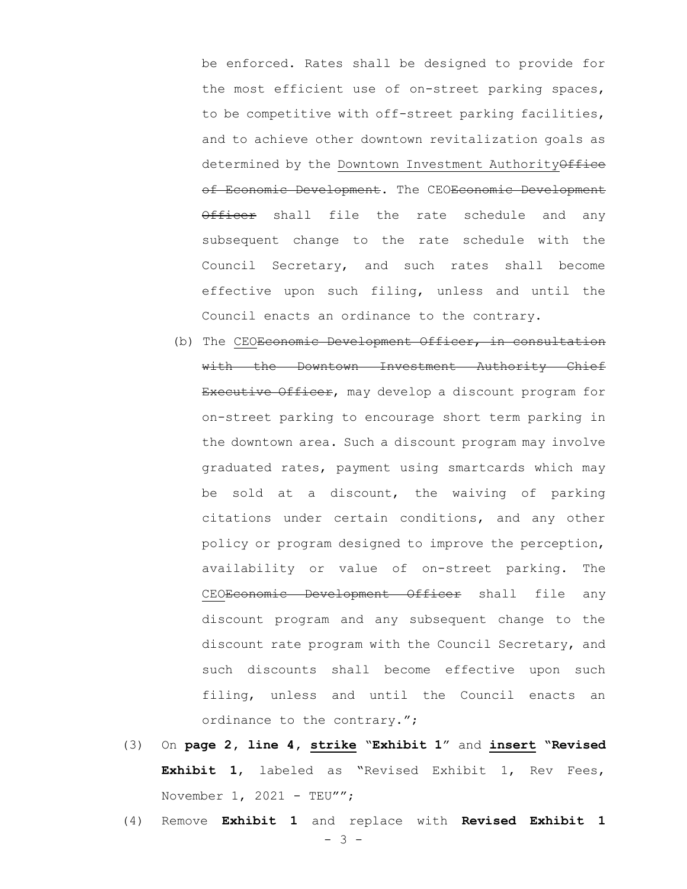be enforced. Rates shall be designed to provide for the most efficient use of on-street parking spaces, to be competitive with off-street parking facilities, and to achieve other downtown revitalization goals as determined by the Downtown Investment AuthorityOffice of Economic Development. The CEOEconomic Development Officer shall file the rate schedule and any subsequent change to the rate schedule with the Council Secretary, and such rates shall become effective upon such filing, unless and until the Council enacts an ordinance to the contrary.

- (b) The CEO<del>Economic Development Officer, in consultation</del> with the Downtown Investment Authority Chief Executive Officer, may develop a discount program for on-street parking to encourage short term parking in the downtown area. Such a discount program may involve graduated rates, payment using smartcards which may be sold at a discount, the waiving of parking citations under certain conditions, and any other policy or program designed to improve the perception, availability or value of on-street parking. The CEOEconomic Development Officer shall file any discount program and any subsequent change to the discount rate program with the Council Secretary, and such discounts shall become effective upon such filing, unless and until the Council enacts an ordinance to the contrary.";
- (3) On **page 2, line 4, strike** "**Exhibit 1**" and **insert "Revised Exhibit 1**, labeled as "Revised Exhibit 1, Rev Fees, November  $1, 2021$  - TEU"";
- (4) Remove **Exhibit 1** and replace with **Revised Exhibit 1**

- 3 -